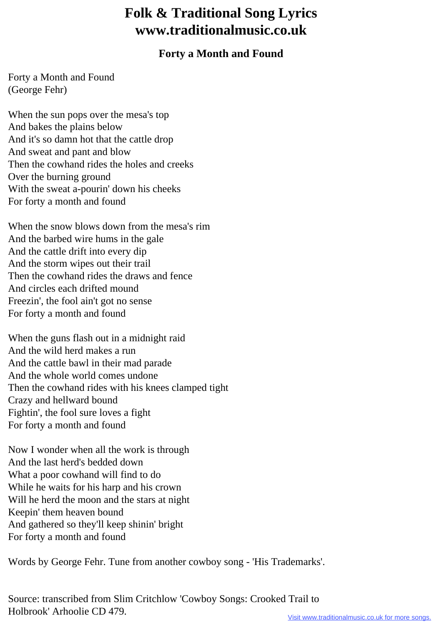## **Folk & Traditional Song Lyrics www.traditionalmusic.co.uk**

## **Forty a Month and Found**

Forty a Month and Found (George Fehr)

When the sun pops over the mesa's top And bakes the plains below And it's so damn hot that the cattle drop And sweat and pant and blow Then the cowhand rides the holes and creeks Over the burning ground With the sweat a-pourin' down his cheeks For forty a month and found

When the snow blows down from the mesa's rim And the barbed wire hums in the gale And the cattle drift into every dip And the storm wipes out their trail Then the cowhand rides the draws and fence And circles each drifted mound Freezin', the fool ain't got no sense For forty a month and found

When the guns flash out in a midnight raid And the wild herd makes a run And the cattle bawl in their mad parade And the whole world comes undone Then the cowhand rides with his knees clamped tight Crazy and hellward bound Fightin', the fool sure loves a fight For forty a month and found

Now I wonder when all the work is through And the last herd's bedded down What a poor cowhand will find to do While he waits for his harp and his crown Will he herd the moon and the stars at night Keepin' them heaven bound And gathered so they'll keep shinin' bright For forty a month and found

Words by George Fehr. Tune from another cowboy song - 'His Trademarks'.

Source: transcribed from Slim Critchlow 'Cowboy Songs: Crooked Trail to Holbrook' Arhoolie CD 479.